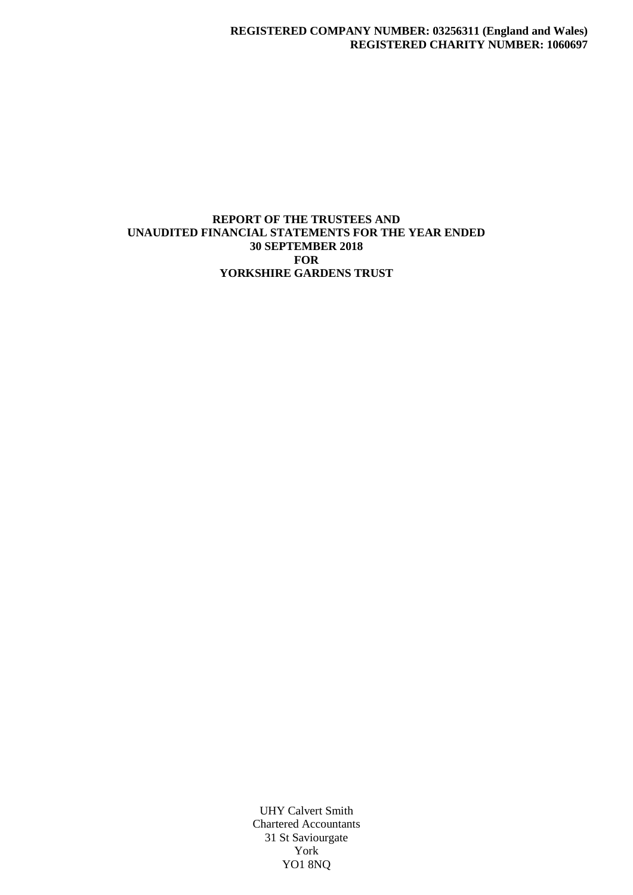## **REPORT OF THE TRUSTEES AND UNAUDITED FINANCIAL STATEMENTS FOR THE YEAR ENDED 30 SEPTEMBER 2018 FOR YORKSHIRE GARDENS TRUST**

UHY Calvert Smith Chartered Accountants 31 St Saviourgate York YO1 8NQ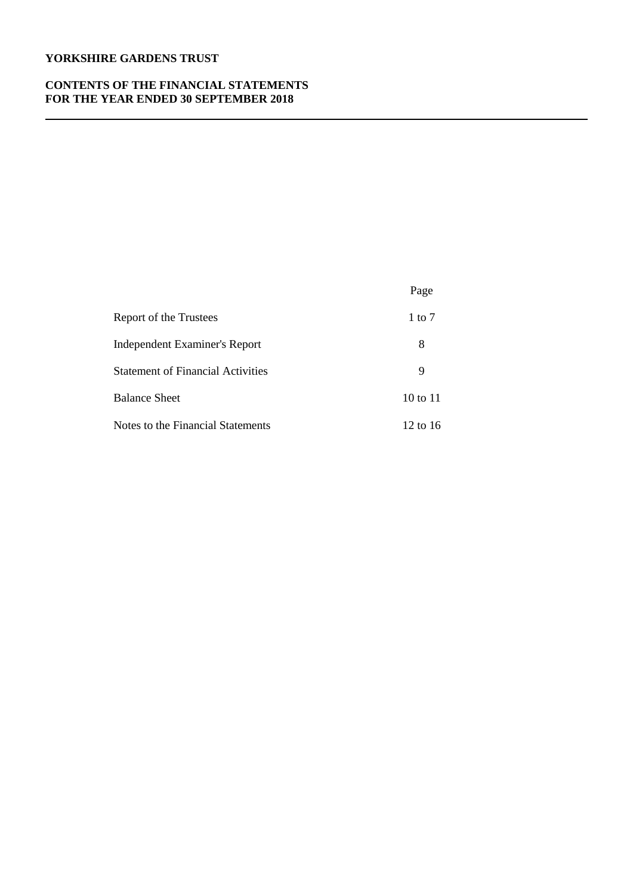## **CONTENTS OF THE FINANCIAL STATEMENTS FOR THE YEAR ENDED 30 SEPTEMBER 2018**

|                                          | Page         |
|------------------------------------------|--------------|
| Report of the Trustees                   | 1 to $7$     |
| <b>Independent Examiner's Report</b>     | 8            |
| <b>Statement of Financial Activities</b> | 9            |
| <b>Balance Sheet</b>                     | $10$ to $11$ |
| Notes to the Financial Statements        | 12 to 16     |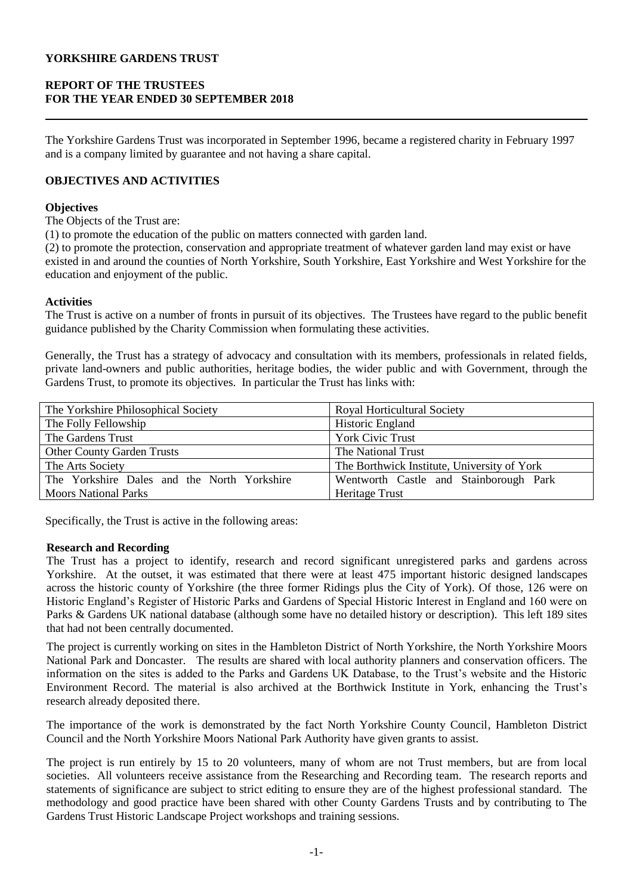# **REPORT OF THE TRUSTEES FOR THE YEAR ENDED 30 SEPTEMBER 2018**

The Yorkshire Gardens Trust was incorporated in September 1996, became a registered charity in February 1997 and is a company limited by guarantee and not having a share capital.

# **OBJECTIVES AND ACTIVITIES**

## **Objectives**

The Objects of the Trust are:

(1) to promote the education of the public on matters connected with garden land.

(2) to promote the protection, conservation and appropriate treatment of whatever garden land may exist or have existed in and around the counties of North Yorkshire, South Yorkshire, East Yorkshire and West Yorkshire for the education and enjoyment of the public.

## **Activities**

The Trust is active on a number of fronts in pursuit of its objectives. The Trustees have regard to the public benefit guidance published by the Charity Commission when formulating these activities.

Generally, the Trust has a strategy of advocacy and consultation with its members, professionals in related fields, private land-owners and public authorities, heritage bodies, the wider public and with Government, through the Gardens Trust, to promote its objectives. In particular the Trust has links with:

| The Yorkshire Philosophical Society         | <b>Royal Horticultural Society</b>          |
|---------------------------------------------|---------------------------------------------|
| The Folly Fellowship                        | Historic England                            |
| The Gardens Trust                           | <b>York Civic Trust</b>                     |
| <b>Other County Garden Trusts</b>           | The National Trust                          |
| The Arts Society                            | The Borthwick Institute, University of York |
| The Yorkshire Dales and the North Yorkshire | Wentworth Castle and Stainborough Park      |
| <b>Moors National Parks</b>                 | Heritage Trust                              |

Specifically, the Trust is active in the following areas:

## **Research and Recording**

The Trust has a project to identify, research and record significant unregistered parks and gardens across Yorkshire. At the outset, it was estimated that there were at least 475 important historic designed landscapes across the historic county of Yorkshire (the three former Ridings plus the City of York). Of those, 126 were on Historic England's Register of Historic Parks and Gardens of Special Historic Interest in England and 160 were on Parks & Gardens UK national database (although some have no detailed history or description). This left 189 sites that had not been centrally documented.

The project is currently working on sites in the Hambleton District of North Yorkshire, the North Yorkshire Moors National Park and Doncaster. The results are shared with local authority planners and conservation officers. The information on the sites is added to the Parks and Gardens UK Database, to the Trust's website and the Historic Environment Record. The material is also archived at the Borthwick Institute in York, enhancing the Trust's research already deposited there.

The importance of the work is demonstrated by the fact North Yorkshire County Council, Hambleton District Council and the North Yorkshire Moors National Park Authority have given grants to assist.

The project is run entirely by 15 to 20 volunteers, many of whom are not Trust members, but are from local societies. All volunteers receive assistance from the Researching and Recording team. The research reports and statements of significance are subject to strict editing to ensure they are of the highest professional standard. The methodology and good practice have been shared with other County Gardens Trusts and by contributing to The Gardens Trust Historic Landscape Project workshops and training sessions.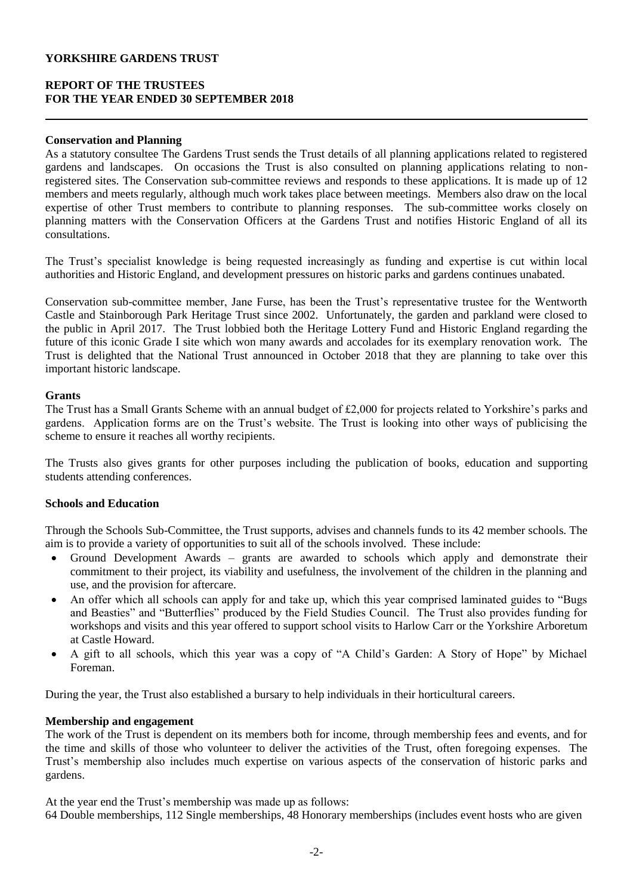## **REPORT OF THE TRUSTEES FOR THE YEAR ENDED 30 SEPTEMBER 2018**

### **Conservation and Planning**

As a statutory consultee The Gardens Trust sends the Trust details of all planning applications related to registered gardens and landscapes. On occasions the Trust is also consulted on planning applications relating to nonregistered sites. The Conservation sub-committee reviews and responds to these applications. It is made up of 12 members and meets regularly, although much work takes place between meetings. Members also draw on the local expertise of other Trust members to contribute to planning responses. The sub-committee works closely on planning matters with the Conservation Officers at the Gardens Trust and notifies Historic England of all its consultations.

The Trust's specialist knowledge is being requested increasingly as funding and expertise is cut within local authorities and Historic England, and development pressures on historic parks and gardens continues unabated.

Conservation sub-committee member, Jane Furse, has been the Trust's representative trustee for the Wentworth Castle and Stainborough Park Heritage Trust since 2002. Unfortunately, the garden and parkland were closed to the public in April 2017. The Trust lobbied both the Heritage Lottery Fund and Historic England regarding the future of this iconic Grade I site which won many awards and accolades for its exemplary renovation work. The Trust is delighted that the National Trust announced in October 2018 that they are planning to take over this important historic landscape.

#### **Grants**

The Trust has a Small Grants Scheme with an annual budget of £2,000 for projects related to Yorkshire's parks and gardens. Application forms are on the Trust's website. The Trust is looking into other ways of publicising the scheme to ensure it reaches all worthy recipients.

The Trusts also gives grants for other purposes including the publication of books, education and supporting students attending conferences.

#### **Schools and Education**

Through the Schools Sub-Committee, the Trust supports, advises and channels funds to its 42 member schools. The aim is to provide a variety of opportunities to suit all of the schools involved. These include:

- Ground Development Awards grants are awarded to schools which apply and demonstrate their commitment to their project, its viability and usefulness, the involvement of the children in the planning and use, and the provision for aftercare.
- An offer which all schools can apply for and take up, which this year comprised laminated guides to "Bugs and Beasties" and "Butterflies" produced by the Field Studies Council. The Trust also provides funding for workshops and visits and this year offered to support school visits to Harlow Carr or the Yorkshire Arboretum at Castle Howard.
- A gift to all schools, which this year was a copy of "A Child's Garden: A Story of Hope" by Michael Foreman.

During the year, the Trust also established a bursary to help individuals in their horticultural careers.

#### **Membership and engagement**

The work of the Trust is dependent on its members both for income, through membership fees and events, and for the time and skills of those who volunteer to deliver the activities of the Trust, often foregoing expenses. The Trust's membership also includes much expertise on various aspects of the conservation of historic parks and gardens.

At the year end the Trust's membership was made up as follows:

64 Double memberships, 112 Single memberships, 48 Honorary memberships (includes event hosts who are given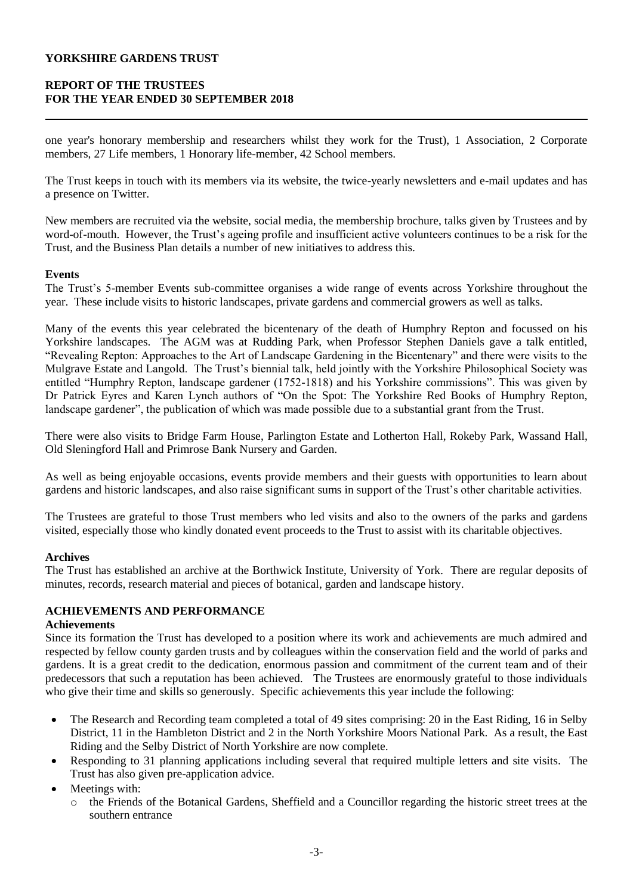# **REPORT OF THE TRUSTEES FOR THE YEAR ENDED 30 SEPTEMBER 2018**

one year's honorary membership and researchers whilst they work for the Trust), 1 Association, 2 Corporate members, 27 Life members, 1 Honorary life-member, 42 School members.

The Trust keeps in touch with its members via its website, the twice-yearly newsletters and e-mail updates and has a presence on Twitter.

New members are recruited via the website, social media, the membership brochure, talks given by Trustees and by word-of-mouth. However, the Trust's ageing profile and insufficient active volunteers continues to be a risk for the Trust, and the Business Plan details a number of new initiatives to address this.

## **Events**

The Trust's 5-member Events sub-committee organises a wide range of events across Yorkshire throughout the year. These include visits to historic landscapes, private gardens and commercial growers as well as talks.

Many of the events this year celebrated the bicentenary of the death of Humphry Repton and focussed on his Yorkshire landscapes. The AGM was at Rudding Park, when Professor Stephen Daniels gave a talk entitled, "Revealing Repton: Approaches to the Art of Landscape Gardening in the Bicentenary" and there were visits to the Mulgrave Estate and Langold. The Trust's biennial talk, held jointly with the Yorkshire Philosophical Society was entitled "Humphry Repton, landscape gardener (1752-1818) and his Yorkshire commissions". This was given by Dr Patrick Eyres and Karen Lynch authors of "On the Spot: The Yorkshire Red Books of Humphry Repton, landscape gardener", the publication of which was made possible due to a substantial grant from the Trust.

There were also visits to Bridge Farm House, Parlington Estate and Lotherton Hall, Rokeby Park, Wassand Hall, Old Sleningford Hall and Primrose Bank Nursery and Garden.

As well as being enjoyable occasions, events provide members and their guests with opportunities to learn about gardens and historic landscapes, and also raise significant sums in support of the Trust's other charitable activities.

The Trustees are grateful to those Trust members who led visits and also to the owners of the parks and gardens visited, especially those who kindly donated event proceeds to the Trust to assist with its charitable objectives.

## **Archives**

The Trust has established an archive at the Borthwick Institute, University of York. There are regular deposits of minutes, records, research material and pieces of botanical, garden and landscape history.

# **ACHIEVEMENTS AND PERFORMANCE**

## **Achievements**

Since its formation the Trust has developed to a position where its work and achievements are much admired and respected by fellow county garden trusts and by colleagues within the conservation field and the world of parks and gardens. It is a great credit to the dedication, enormous passion and commitment of the current team and of their predecessors that such a reputation has been achieved. The Trustees are enormously grateful to those individuals who give their time and skills so generously. Specific achievements this year include the following:

- The Research and Recording team completed a total of 49 sites comprising: 20 in the East Riding, 16 in Selby District, 11 in the Hambleton District and 2 in the North Yorkshire Moors National Park. As a result, the East Riding and the Selby District of North Yorkshire are now complete.
- Responding to 31 planning applications including several that required multiple letters and site visits. The Trust has also given pre-application advice.
- Meetings with:
	- o the Friends of the Botanical Gardens, Sheffield and a Councillor regarding the historic street trees at the southern entrance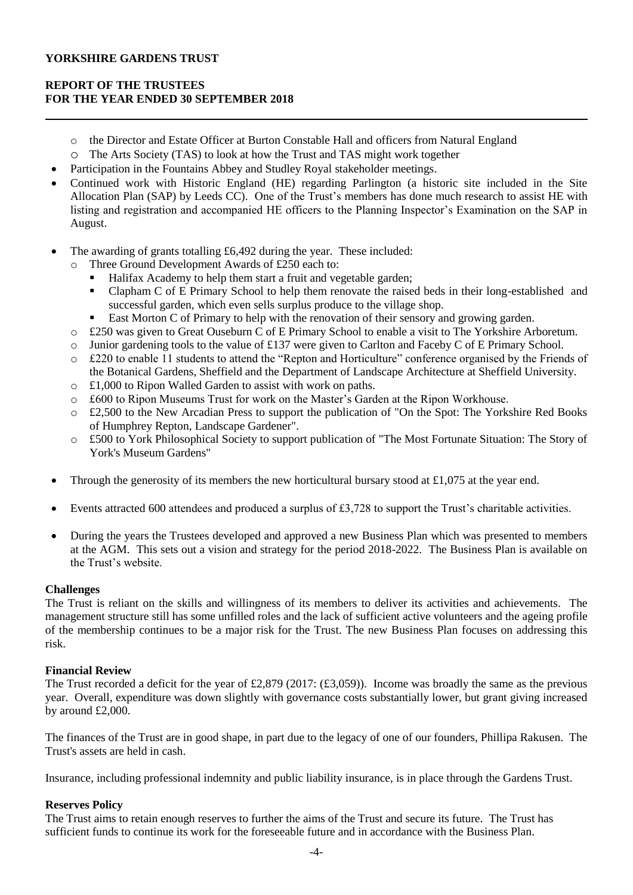# **REPORT OF THE TRUSTEES FOR THE YEAR ENDED 30 SEPTEMBER 2018**

- o the Director and Estate Officer at Burton Constable Hall and officers from Natural England
- o The Arts Society (TAS) to look at how the Trust and TAS might work together
- Participation in the Fountains Abbey and Studley Royal stakeholder meetings.
- Continued work with Historic England (HE) regarding Parlington (a historic site included in the Site Allocation Plan (SAP) by Leeds CC). One of the Trust's members has done much research to assist HE with listing and registration and accompanied HE officers to the Planning Inspector's Examination on the SAP in August.
- The awarding of grants totalling £6,492 during the year. These included:
	- o Three Ground Development Awards of £250 each to:
		- Halifax Academy to help them start a fruit and vegetable garden;
		- Clapham C of E Primary School to help them renovate the raised beds in their long-established and successful garden, which even sells surplus produce to the village shop.
		- East Morton C of Primary to help with the renovation of their sensory and growing garden.
	- o £250 was given to Great Ouseburn C of E Primary School to enable a visit to The Yorkshire Arboretum.
	- o Junior gardening tools to the value of £137 were given to Carlton and Faceby C of E Primary School.
	- o £220 to enable 11 students to attend the "Repton and Horticulture" conference organised by the Friends of the Botanical Gardens, Sheffield and the Department of Landscape Architecture at Sheffield University.
	- o £1,000 to Ripon Walled Garden to assist with work on paths.
	- o £600 to Ripon Museums Trust for work on the Master's Garden at the Ripon Workhouse.
	- o £2,500 to the New Arcadian Press to support the publication of "On the Spot: The Yorkshire Red Books of Humphrey Repton, Landscape Gardener".
	- o £500 to York Philosophical Society to support publication of "The Most Fortunate Situation: The Story of York's Museum Gardens"
- Through the generosity of its members the new horticultural bursary stood at £1,075 at the year end.
- Events attracted 600 attendees and produced a surplus of £3,728 to support the Trust's charitable activities.
- During the years the Trustees developed and approved a new Business Plan which was presented to members at the AGM. This sets out a vision and strategy for the period 2018-2022. The Business Plan is available on the Trust's website.

# **Challenges**

The Trust is reliant on the skills and willingness of its members to deliver its activities and achievements. The management structure still has some unfilled roles and the lack of sufficient active volunteers and the ageing profile of the membership continues to be a major risk for the Trust. The new Business Plan focuses on addressing this risk.

## **Financial Review**

The Trust recorded a deficit for the year of £2,879 (2017:  $(\text{\textsterling}3,059)$ ). Income was broadly the same as the previous year. Overall, expenditure was down slightly with governance costs substantially lower, but grant giving increased by around £2,000.

The finances of the Trust are in good shape, in part due to the legacy of one of our founders, Phillipa Rakusen. The Trust's assets are held in cash.

Insurance, including professional indemnity and public liability insurance, is in place through the Gardens Trust.

# **Reserves Policy**

The Trust aims to retain enough reserves to further the aims of the Trust and secure its future. The Trust has sufficient funds to continue its work for the foreseeable future and in accordance with the Business Plan.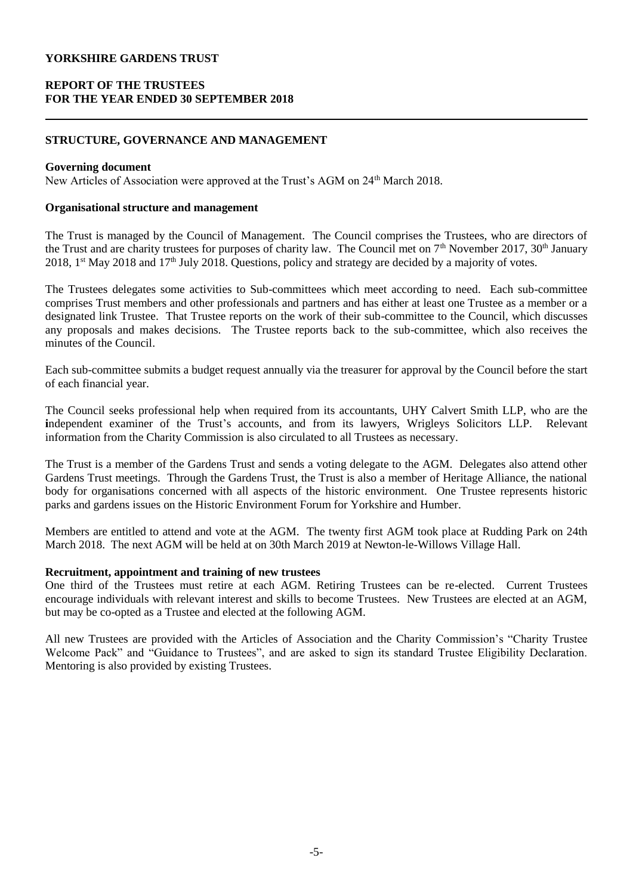# **REPORT OF THE TRUSTEES FOR THE YEAR ENDED 30 SEPTEMBER 2018**

## **STRUCTURE, GOVERNANCE AND MANAGEMENT**

#### **Governing document**

New Articles of Association were approved at the Trust's AGM on 24<sup>th</sup> March 2018.

## **Organisational structure and management**

The Trust is managed by the Council of Management. The Council comprises the Trustees, who are directors of the Trust and are charity trustees for purposes of charity law. The Council met on  $7<sup>th</sup>$  November 2017, 30<sup>th</sup> January 2018, 1<sup>st</sup> May 2018 and 17<sup>th</sup> July 2018. Questions, policy and strategy are decided by a majority of votes.

The Trustees delegates some activities to Sub-committees which meet according to need. Each sub-committee comprises Trust members and other professionals and partners and has either at least one Trustee as a member or a designated link Trustee. That Trustee reports on the work of their sub-committee to the Council, which discusses any proposals and makes decisions. The Trustee reports back to the sub-committee, which also receives the minutes of the Council.

Each sub-committee submits a budget request annually via the treasurer for approval by the Council before the start of each financial year.

The Council seeks professional help when required from its accountants, UHY Calvert Smith LLP, who are the independent examiner of the Trust's accounts, and from its lawyers, Wrigleys Solicitors LLP. Relevant information from the Charity Commission is also circulated to all Trustees as necessary.

The Trust is a member of the Gardens Trust and sends a voting delegate to the AGM. Delegates also attend other Gardens Trust meetings. Through the Gardens Trust, the Trust is also a member of Heritage Alliance, the national body for organisations concerned with all aspects of the historic environment. One Trustee represents historic parks and gardens issues on the Historic Environment Forum for Yorkshire and Humber.

Members are entitled to attend and vote at the AGM. The twenty first AGM took place at Rudding Park on 24th March 2018. The next AGM will be held at on 30th March 2019 at Newton-le-Willows Village Hall.

#### **Recruitment, appointment and training of new trustees**

One third of the Trustees must retire at each AGM. Retiring Trustees can be re-elected. Current Trustees encourage individuals with relevant interest and skills to become Trustees. New Trustees are elected at an AGM, but may be co-opted as a Trustee and elected at the following AGM.

All new Trustees are provided with the Articles of Association and the Charity Commission's "Charity Trustee Welcome Pack" and "Guidance to Trustees", and are asked to sign its standard Trustee Eligibility Declaration. Mentoring is also provided by existing Trustees.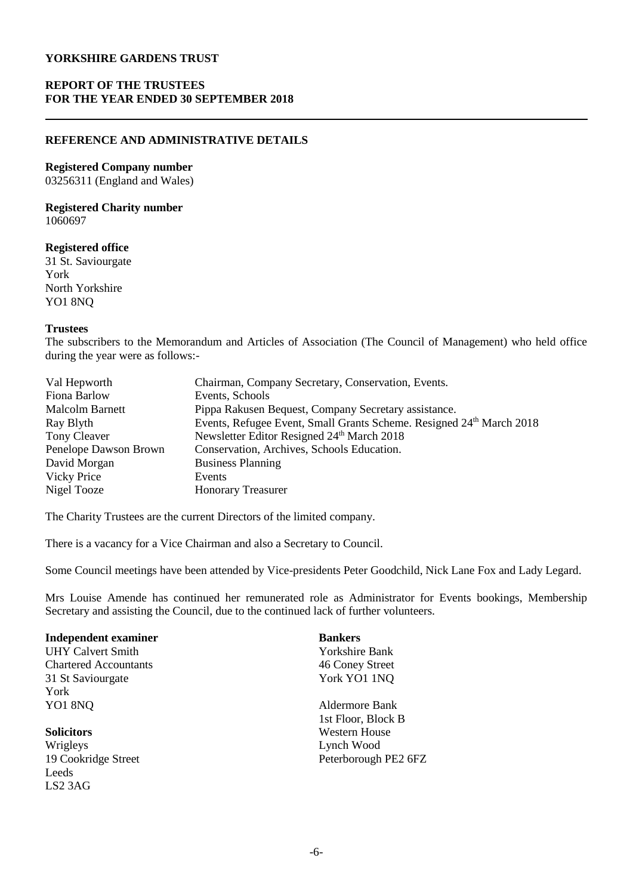## **REPORT OF THE TRUSTEES FOR THE YEAR ENDED 30 SEPTEMBER 2018**

#### **REFERENCE AND ADMINISTRATIVE DETAILS**

#### **Registered Company number**

03256311 (England and Wales)

#### **Registered Charity number** 1060697

#### **Registered office**

31 St. Saviourgate York North Yorkshire YO1 8NQ

#### **Trustees**

The subscribers to the Memorandum and Articles of Association (The Council of Management) who held office during the year were as follows:-

| Val Hepworth           | Chairman, Company Secretary, Conservation, Events.                   |
|------------------------|----------------------------------------------------------------------|
| Fiona Barlow           | Events, Schools                                                      |
| <b>Malcolm Barnett</b> | Pippa Rakusen Bequest, Company Secretary assistance.                 |
| Ray Blyth              | Events, Refugee Event, Small Grants Scheme. Resigned 24th March 2018 |
| Tony Cleaver           | Newsletter Editor Resigned 24th March 2018                           |
| Penelope Dawson Brown  | Conservation, Archives, Schools Education.                           |
| David Morgan           | <b>Business Planning</b>                                             |
| <b>Vicky Price</b>     | Events                                                               |
| Nigel Tooze            | <b>Honorary Treasurer</b>                                            |

The Charity Trustees are the current Directors of the limited company.

There is a vacancy for a Vice Chairman and also a Secretary to Council.

Some Council meetings have been attended by Vice-presidents Peter Goodchild, Nick Lane Fox and Lady Legard.

Mrs Louise Amende has continued her remunerated role as Administrator for Events bookings, Membership Secretary and assisting the Council, due to the continued lack of further volunteers.

| <b>Independent examiner</b>  | <b>Bankers</b>       |
|------------------------------|----------------------|
| <b>UHY Calvert Smith</b>     | Yorkshire Bank       |
| <b>Chartered Accountants</b> | 46 Coney Street      |
| 31 St Saviourgate            | York YO1 1NQ         |
| York                         |                      |
| YO1 8NQ                      | Aldermore Bank       |
|                              | 1st Floor, Block B   |
| <b>Solicitors</b>            | <b>Western House</b> |
| Wrigleys                     | Lynch Wood           |
| 19 Cookridge Street          | Peterborough PE2 6FZ |
| Leeds                        |                      |
| $LS2$ 3AG                    |                      |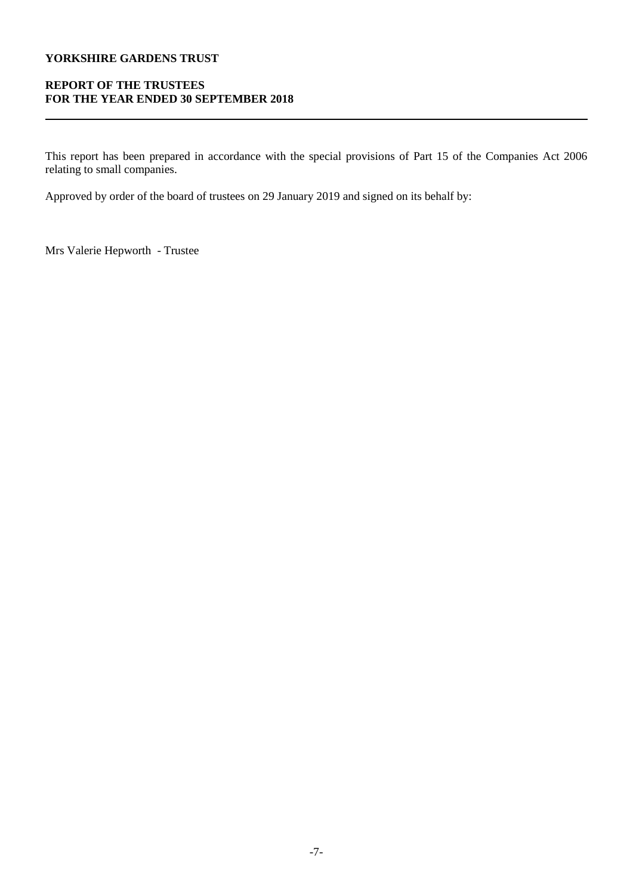# **REPORT OF THE TRUSTEES FOR THE YEAR ENDED 30 SEPTEMBER 2018**

This report has been prepared in accordance with the special provisions of Part 15 of the Companies Act 2006 relating to small companies.

Approved by order of the board of trustees on 29 January 2019 and signed on its behalf by:

Mrs Valerie Hepworth - Trustee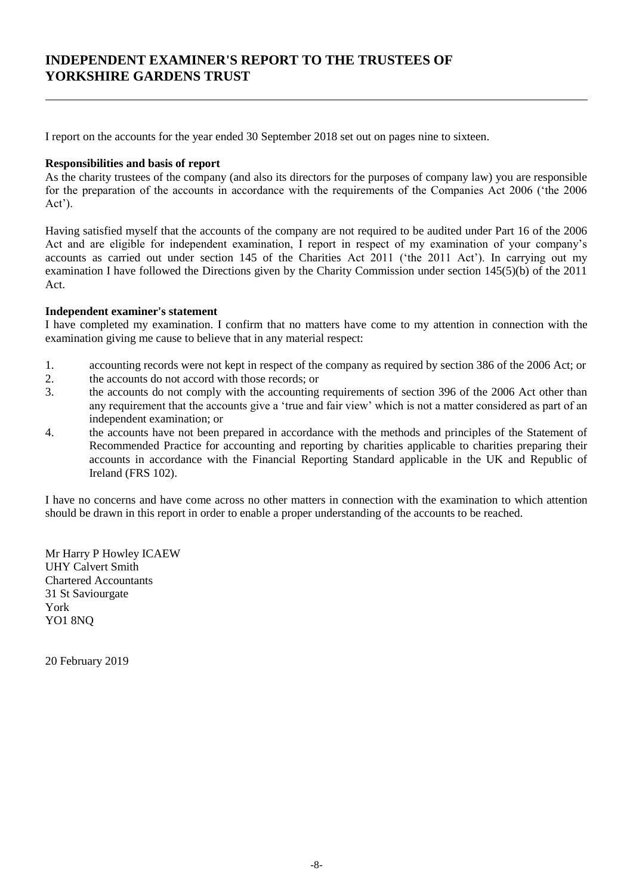# **INDEPENDENT EXAMINER'S REPORT TO THE TRUSTEES OF YORKSHIRE GARDENS TRUST**

I report on the accounts for the year ended 30 September 2018 set out on pages nine to sixteen.

## **Responsibilities and basis of report**

As the charity trustees of the company (and also its directors for the purposes of company law) you are responsible for the preparation of the accounts in accordance with the requirements of the Companies Act 2006 ('the 2006 Act').

Having satisfied myself that the accounts of the company are not required to be audited under Part 16 of the 2006 Act and are eligible for independent examination, I report in respect of my examination of your company's accounts as carried out under section 145 of the Charities Act 2011 ('the 2011 Act'). In carrying out my examination I have followed the Directions given by the Charity Commission under section 145(5)(b) of the 2011 Act.

## **Independent examiner's statement**

I have completed my examination. I confirm that no matters have come to my attention in connection with the examination giving me cause to believe that in any material respect:

- 1. accounting records were not kept in respect of the company as required by section 386 of the 2006 Act; or
- 2. the accounts do not accord with those records; or
- 3. the accounts do not comply with the accounting requirements of section 396 of the 2006 Act other than any requirement that the accounts give a 'true and fair view' which is not a matter considered as part of an independent examination; or
- 4. the accounts have not been prepared in accordance with the methods and principles of the Statement of Recommended Practice for accounting and reporting by charities applicable to charities preparing their accounts in accordance with the Financial Reporting Standard applicable in the UK and Republic of Ireland (FRS 102).

I have no concerns and have come across no other matters in connection with the examination to which attention should be drawn in this report in order to enable a proper understanding of the accounts to be reached.

Mr Harry P Howley ICAEW UHY Calvert Smith Chartered Accountants 31 St Saviourgate York YO1 8NQ

20 February 2019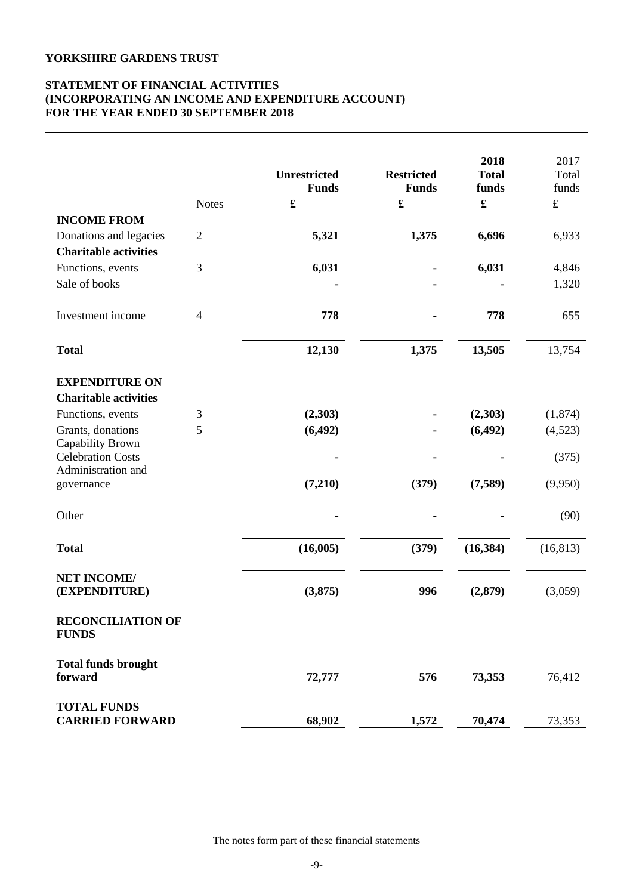## **STATEMENT OF FINANCIAL ACTIVITIES (INCORPORATING AN INCOME AND EXPENDITURE ACCOUNT) FOR THE YEAR ENDED 30 SEPTEMBER 2018**

|                                              |                | <b>Unrestricted</b><br><b>Funds</b> | <b>Restricted</b><br><b>Funds</b> | 2018<br><b>Total</b><br>funds | 2017<br>Total<br>funds |
|----------------------------------------------|----------------|-------------------------------------|-----------------------------------|-------------------------------|------------------------|
|                                              | <b>Notes</b>   | $\mathbf f$                         | $\mathbf f$                       | £                             | $\pounds$              |
| <b>INCOME FROM</b>                           |                |                                     |                                   |                               |                        |
| Donations and legacies                       | $\sqrt{2}$     | 5,321                               | 1,375                             | 6,696                         | 6,933                  |
| <b>Charitable activities</b>                 |                |                                     |                                   |                               |                        |
| Functions, events                            | 3              | 6,031                               |                                   | 6,031                         | 4,846                  |
| Sale of books                                |                |                                     |                                   |                               | 1,320                  |
| Investment income                            | $\overline{4}$ | 778                                 |                                   | 778                           | 655                    |
| <b>Total</b>                                 |                | 12,130                              | 1,375                             | 13,505                        | 13,754                 |
| <b>EXPENDITURE ON</b>                        |                |                                     |                                   |                               |                        |
| <b>Charitable activities</b>                 |                |                                     |                                   |                               |                        |
| Functions, events                            | 3              | (2,303)                             |                                   | (2,303)                       | (1,874)                |
| Grants, donations                            | 5              | (6, 492)                            |                                   | (6, 492)                      | (4,523)                |
| Capability Brown<br><b>Celebration Costs</b> |                |                                     |                                   |                               | (375)                  |
| Administration and                           |                |                                     |                                   |                               |                        |
| governance                                   |                | (7,210)                             | (379)                             | (7,589)                       | (9,950)                |
| Other                                        |                |                                     |                                   |                               | (90)                   |
| <b>Total</b>                                 |                | (16,005)                            | (379)                             | (16, 384)                     | (16, 813)              |
| <b>NET INCOME/</b><br>(EXPENDITURE)          |                | (3, 875)                            | 996                               | (2,879)                       | (3,059)                |
| <b>RECONCILIATION OF</b><br><b>FUNDS</b>     |                |                                     |                                   |                               |                        |
| <b>Total funds brought</b><br>forward        |                | 72,777                              | 576                               | 73,353                        | 76,412                 |
| <b>TOTAL FUNDS</b><br><b>CARRIED FORWARD</b> |                | 68,902                              | 1,572                             | 70,474                        | 73,353                 |

The notes form part of these financial statements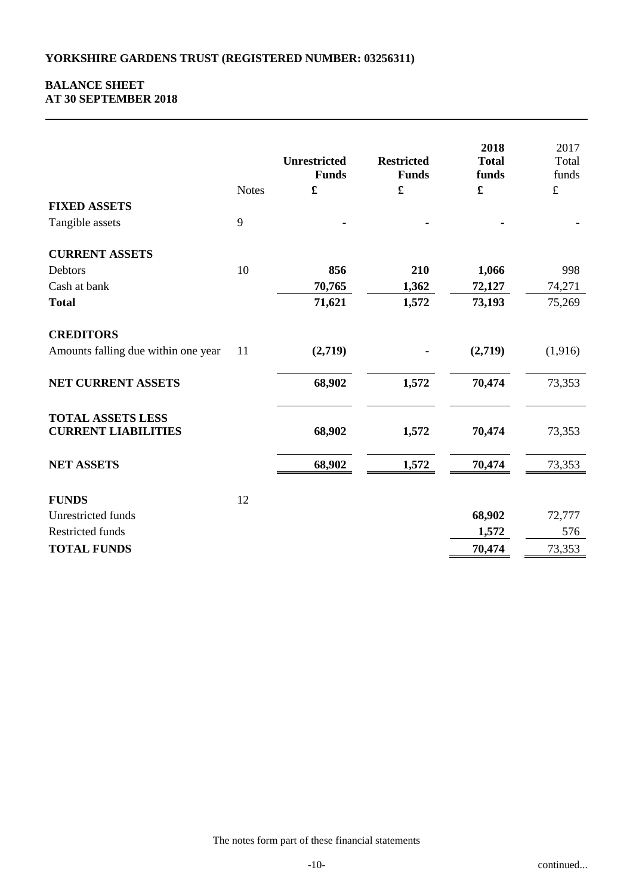## **BALANCE SHEET AT 30 SEPTEMBER 2018**

|                                                        | <b>Notes</b> | <b>Unrestricted</b><br><b>Funds</b> | <b>Restricted</b><br><b>Funds</b><br>$\pmb{\mathfrak{L}}$ | 2018<br><b>Total</b><br>funds<br>$\pmb{\mathfrak{L}}$ | 2017<br>Total<br>funds<br>$\pounds$ |
|--------------------------------------------------------|--------------|-------------------------------------|-----------------------------------------------------------|-------------------------------------------------------|-------------------------------------|
| <b>FIXED ASSETS</b>                                    |              |                                     |                                                           |                                                       |                                     |
| Tangible assets                                        | 9            |                                     |                                                           |                                                       |                                     |
| <b>CURRENT ASSETS</b>                                  |              |                                     |                                                           |                                                       |                                     |
| Debtors                                                | 10           | 856                                 | 210                                                       | 1,066                                                 | 998                                 |
| Cash at bank                                           |              | 70,765                              | 1,362                                                     | 72,127                                                | 74,271                              |
| <b>Total</b>                                           |              | 71,621                              | 1,572                                                     | 73,193                                                | 75,269                              |
| <b>CREDITORS</b>                                       |              |                                     |                                                           |                                                       |                                     |
| Amounts falling due within one year                    | 11           | (2,719)                             |                                                           | (2,719)                                               | (1,916)                             |
| NET CURRENT ASSETS                                     |              | 68,902                              | 1,572                                                     | 70,474                                                | 73,353                              |
| <b>TOTAL ASSETS LESS</b><br><b>CURRENT LIABILITIES</b> |              | 68,902                              | 1,572                                                     | 70,474                                                | 73,353                              |
| <b>NET ASSETS</b>                                      |              | 68,902                              | 1,572                                                     | 70,474                                                | 73,353                              |
| <b>FUNDS</b>                                           | 12           |                                     |                                                           |                                                       |                                     |
| Unrestricted funds                                     |              |                                     |                                                           | 68,902                                                | 72,777                              |
| Restricted funds                                       |              |                                     |                                                           | 1,572                                                 | 576                                 |
| <b>TOTAL FUNDS</b>                                     |              |                                     |                                                           | 70,474                                                | 73,353                              |
|                                                        |              |                                     |                                                           |                                                       |                                     |

The notes form part of these financial statements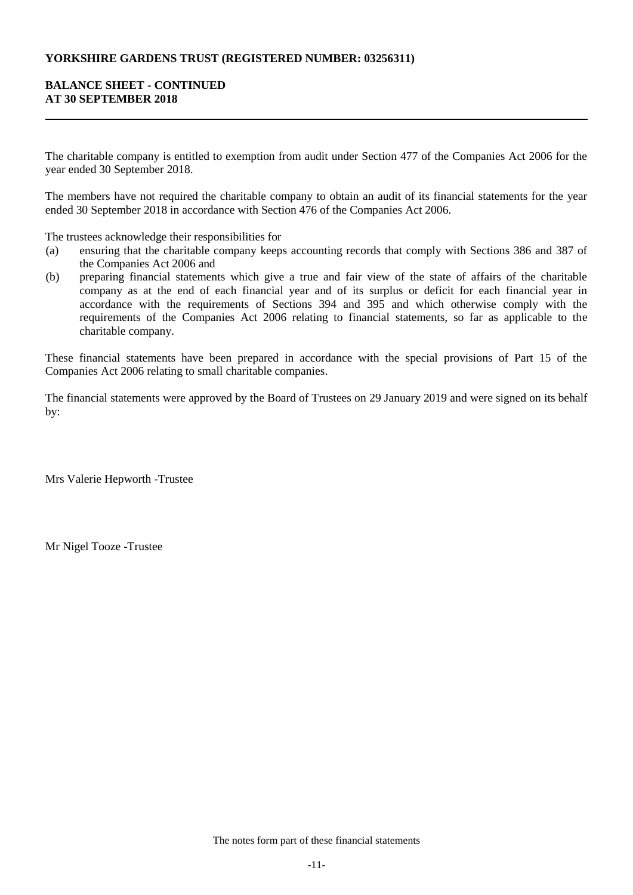## **YORKSHIRE GARDENS TRUST (REGISTERED NUMBER: 03256311)**

## **BALANCE SHEET - CONTINUED AT 30 SEPTEMBER 2018**

The charitable company is entitled to exemption from audit under Section 477 of the Companies Act 2006 for the year ended 30 September 2018.

The members have not required the charitable company to obtain an audit of its financial statements for the year ended 30 September 2018 in accordance with Section 476 of the Companies Act 2006.

The trustees acknowledge their responsibilities for

- (a) ensuring that the charitable company keeps accounting records that comply with Sections 386 and 387 of the Companies Act 2006 and
- (b) preparing financial statements which give a true and fair view of the state of affairs of the charitable company as at the end of each financial year and of its surplus or deficit for each financial year in accordance with the requirements of Sections 394 and 395 and which otherwise comply with the requirements of the Companies Act 2006 relating to financial statements, so far as applicable to the charitable company.

These financial statements have been prepared in accordance with the special provisions of Part 15 of the Companies Act 2006 relating to small charitable companies.

The financial statements were approved by the Board of Trustees on 29 January 2019 and were signed on its behalf by:

Mrs Valerie Hepworth -Trustee

Mr Nigel Tooze -Trustee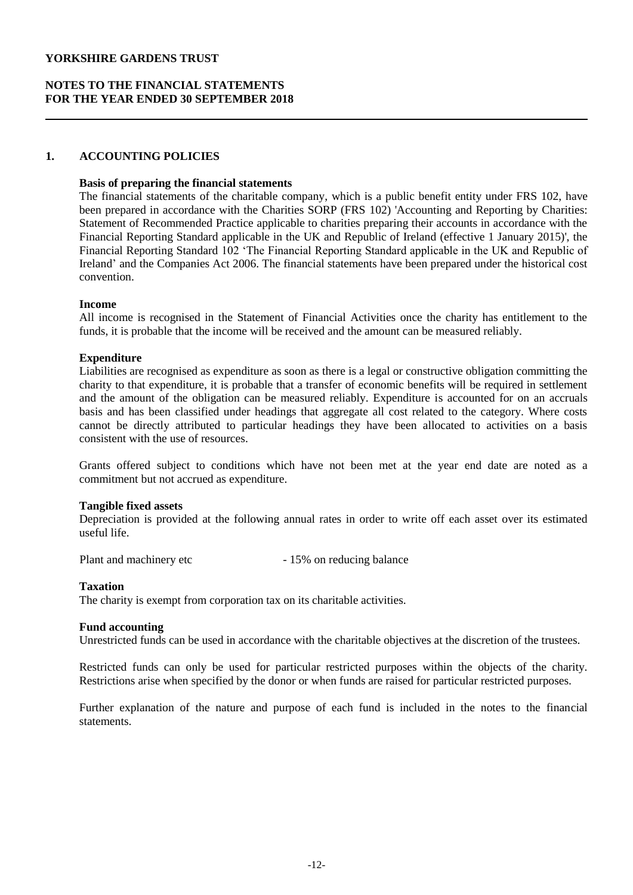## **NOTES TO THE FINANCIAL STATEMENTS FOR THE YEAR ENDED 30 SEPTEMBER 2018**

### **1. ACCOUNTING POLICIES**

### **Basis of preparing the financial statements**

The financial statements of the charitable company, which is a public benefit entity under FRS 102, have been prepared in accordance with the Charities SORP (FRS 102) 'Accounting and Reporting by Charities: Statement of Recommended Practice applicable to charities preparing their accounts in accordance with the Financial Reporting Standard applicable in the UK and Republic of Ireland (effective 1 January 2015)', the Financial Reporting Standard 102 'The Financial Reporting Standard applicable in the UK and Republic of Ireland' and the Companies Act 2006. The financial statements have been prepared under the historical cost convention.

### **Income**

All income is recognised in the Statement of Financial Activities once the charity has entitlement to the funds, it is probable that the income will be received and the amount can be measured reliably.

### **Expenditure**

Liabilities are recognised as expenditure as soon as there is a legal or constructive obligation committing the charity to that expenditure, it is probable that a transfer of economic benefits will be required in settlement and the amount of the obligation can be measured reliably. Expenditure is accounted for on an accruals basis and has been classified under headings that aggregate all cost related to the category. Where costs cannot be directly attributed to particular headings they have been allocated to activities on a basis consistent with the use of resources.

Grants offered subject to conditions which have not been met at the year end date are noted as a commitment but not accrued as expenditure.

#### **Tangible fixed assets**

Depreciation is provided at the following annual rates in order to write off each asset over its estimated useful life.

Plant and machinery etc - 15% on reducing balance

#### **Taxation**

The charity is exempt from corporation tax on its charitable activities.

#### **Fund accounting**

Unrestricted funds can be used in accordance with the charitable objectives at the discretion of the trustees.

Restricted funds can only be used for particular restricted purposes within the objects of the charity. Restrictions arise when specified by the donor or when funds are raised for particular restricted purposes.

Further explanation of the nature and purpose of each fund is included in the notes to the financial statements.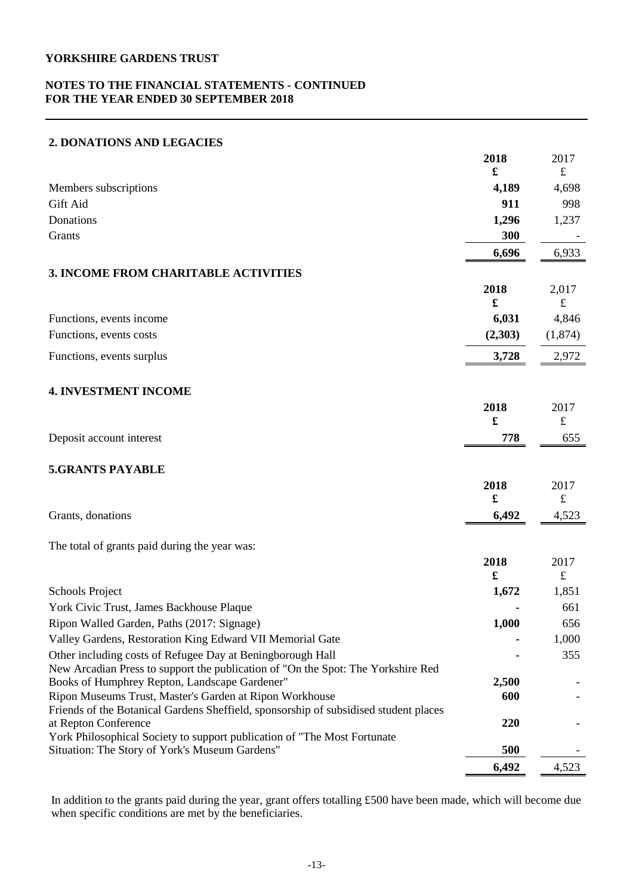## **NOTES TO THE FINANCIAL STATEMENTS - CONTINUED FOR THE YEAR ENDED 30 SEPTEMBER 2018**

## **2. DONATIONS AND LEGACIES**

|                                                                                                   | 2018                 | 2017       |
|---------------------------------------------------------------------------------------------------|----------------------|------------|
|                                                                                                   | £                    | $\pounds$  |
| Members subscriptions                                                                             | 4,189                | 4,698      |
| Gift Aid                                                                                          | 911                  | 998        |
| Donations                                                                                         | 1,296                | 1,237      |
| Grants                                                                                            | 300                  |            |
|                                                                                                   | 6,696                | 6,933      |
| <b>3. INCOME FROM CHARITABLE ACTIVITIES</b>                                                       |                      |            |
|                                                                                                   | 2018                 | 2,017      |
|                                                                                                   | £                    | $\pounds$  |
| Functions, events income                                                                          | 6,031                | 4,846      |
| Functions, events costs                                                                           | (2,303)              | (1,874)    |
| Functions, events surplus                                                                         | 3,728                | 2,972      |
| <b>4. INVESTMENT INCOME</b>                                                                       |                      |            |
|                                                                                                   | 2018                 | 2017       |
|                                                                                                   | $\mathbf f$          | $\pounds$  |
| Deposit account interest                                                                          | 778                  | 655        |
| <b>5.GRANTS PAYABLE</b>                                                                           |                      |            |
|                                                                                                   | 2018                 | 2017       |
|                                                                                                   | £                    | $\pounds$  |
| Grants, donations                                                                                 | 6,492                | 4,523      |
| The total of grants paid during the year was:                                                     |                      |            |
|                                                                                                   | 2018                 | 2017       |
|                                                                                                   | $\pmb{\mathfrak{L}}$ | $\pounds$  |
| Schools Project<br>York Civic Trust, James Backhouse Plaque                                       | 1,672                | 1,851      |
| Ripon Walled Garden, Paths (2017: Signage)                                                        | 1,000                | 661<br>656 |
| Valley Gardens, Restoration King Edward VII Memorial Gate                                         |                      | 1,000      |
| Other including costs of Refugee Day at Beningborough Hall                                        |                      | 355        |
| New Arcadian Press to support the publication of "On the Spot: The Yorkshire Red                  |                      |            |
| Books of Humphrey Repton, Landscape Gardener"                                                     | 2,500                |            |
| Ripon Museums Trust, Master's Garden at Ripon Workhouse                                           | 600                  |            |
| Friends of the Botanical Gardens Sheffield, sponsorship of subsidised student places              |                      |            |
| at Repton Conference<br>York Philosophical Society to support publication of "The Most Fortunate" | 220                  |            |
| Situation: The Story of York's Museum Gardens"                                                    | 500                  |            |
|                                                                                                   | 6,492                | 4,523      |

In addition to the grants paid during the year, grant offers totalling £500 have been made, which will become due when specific conditions are met by the beneficiaries.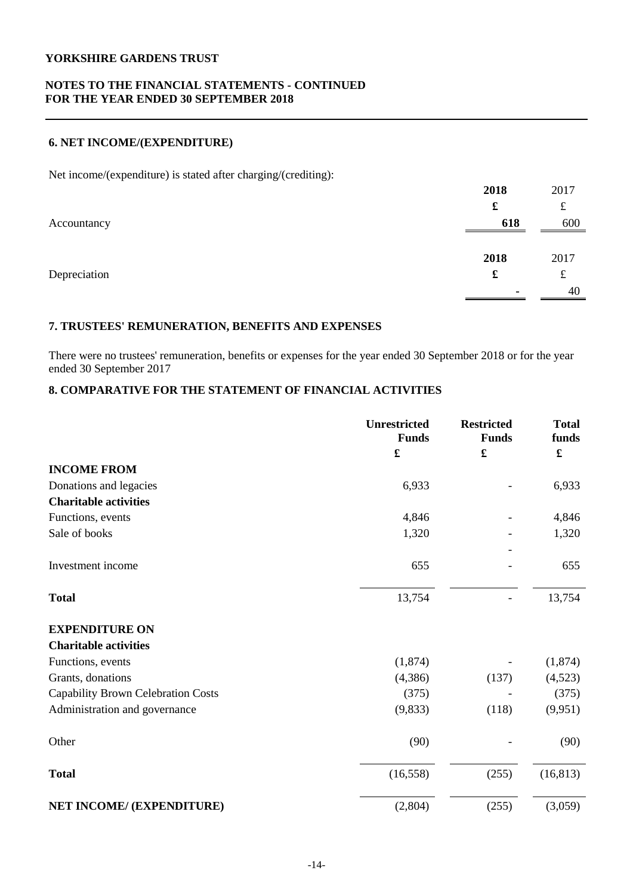## **NOTES TO THE FINANCIAL STATEMENTS - CONTINUED FOR THE YEAR ENDED 30 SEPTEMBER 2018**

## **6. NET INCOME/(EXPENDITURE)**

Net income/(expenditure) is stated after charging/(crediting):

|              | 2018 | 2017 |
|--------------|------|------|
|              | £    | £    |
| Accountancy  | 618  | 600  |
|              |      |      |
|              | 2018 | 2017 |
| Depreciation | £    | £    |
|              |      | 40   |

# **7. TRUSTEES' REMUNERATION, BENEFITS AND EXPENSES**

There were no trustees' remuneration, benefits or expenses for the year ended 30 September 2018 or for the year ended 30 September 2017

# **8. COMPARATIVE FOR THE STATEMENT OF FINANCIAL ACTIVITIES**

|                                    | <b>Unrestricted</b><br><b>Funds</b> | <b>Restricted</b><br><b>Funds</b> | <b>Total</b><br>funds |
|------------------------------------|-------------------------------------|-----------------------------------|-----------------------|
|                                    | £                                   | £                                 | £                     |
| <b>INCOME FROM</b>                 |                                     |                                   |                       |
| Donations and legacies             | 6,933                               |                                   | 6,933                 |
| <b>Charitable activities</b>       |                                     |                                   |                       |
| Functions, events                  | 4,846                               |                                   | 4,846                 |
| Sale of books                      | 1,320                               |                                   | 1,320                 |
| Investment income                  | 655                                 |                                   | 655                   |
| <b>Total</b>                       | 13,754                              |                                   | 13,754                |
| <b>EXPENDITURE ON</b>              |                                     |                                   |                       |
| <b>Charitable activities</b>       |                                     |                                   |                       |
| Functions, events                  | (1,874)                             |                                   | (1, 874)              |
| Grants, donations                  | (4,386)                             | (137)                             | (4,523)               |
| Capability Brown Celebration Costs | (375)                               |                                   | (375)                 |
| Administration and governance      | (9, 833)                            | (118)                             | (9,951)               |
| Other                              | (90)                                |                                   | (90)                  |
| <b>Total</b>                       | (16, 558)                           | (255)                             | (16, 813)             |
| NET INCOME/ (EXPENDITURE)          | (2,804)                             | (255)                             | (3,059)               |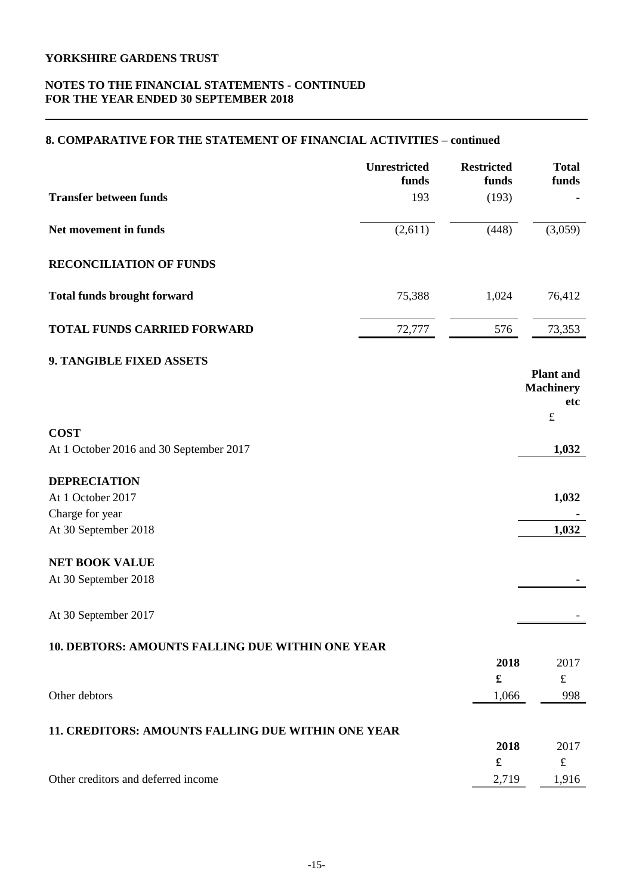## **NOTES TO THE FINANCIAL STATEMENTS - CONTINUED FOR THE YEAR ENDED 30 SEPTEMBER 2018**

## **8. COMPARATIVE FOR THE STATEMENT OF FINANCIAL ACTIVITIES – continued**

|                                                         | Unrestricted<br>funds | <b>Restricted</b><br>funds   | <b>Total</b><br>funds                       |
|---------------------------------------------------------|-----------------------|------------------------------|---------------------------------------------|
| <b>Transfer between funds</b>                           | 193                   | (193)                        |                                             |
| Net movement in funds                                   | (2,611)               | (448)                        | (3,059)                                     |
| <b>RECONCILIATION OF FUNDS</b>                          |                       |                              |                                             |
| <b>Total funds brought forward</b>                      | 75,388                | 1,024                        | 76,412                                      |
| <b>TOTAL FUNDS CARRIED FORWARD</b>                      | 72,777                | 576                          | 73,353                                      |
| 9. TANGIBLE FIXED ASSETS                                |                       |                              | <b>Plant</b> and<br><b>Machinery</b><br>etc |
| <b>COST</b>                                             |                       |                              | $\pounds$                                   |
| At 1 October 2016 and 30 September 2017                 |                       |                              | 1,032                                       |
| <b>DEPRECIATION</b>                                     |                       |                              |                                             |
| At 1 October 2017                                       |                       |                              | 1,032                                       |
| Charge for year<br>At 30 September 2018                 |                       |                              | 1,032                                       |
| <b>NET BOOK VALUE</b>                                   |                       |                              |                                             |
| At 30 September 2018                                    |                       |                              |                                             |
| At 30 September 2017                                    |                       |                              |                                             |
| <b>10. DEBTORS: AMOUNTS FALLING DUE WITHIN ONE YEAR</b> |                       |                              |                                             |
|                                                         |                       | 2018<br>$\pmb{\mathfrak{L}}$ | 2017<br>$\pounds$                           |
| Other debtors                                           |                       | 1,066                        | 998                                         |
|                                                         |                       |                              |                                             |
| 11. CREDITORS: AMOUNTS FALLING DUE WITHIN ONE YEAR      |                       |                              |                                             |
|                                                         |                       | 2018                         | 2017                                        |
|                                                         |                       | £                            | $\pounds$                                   |
| Other creditors and deferred income                     |                       | 2,719                        | 1,916                                       |